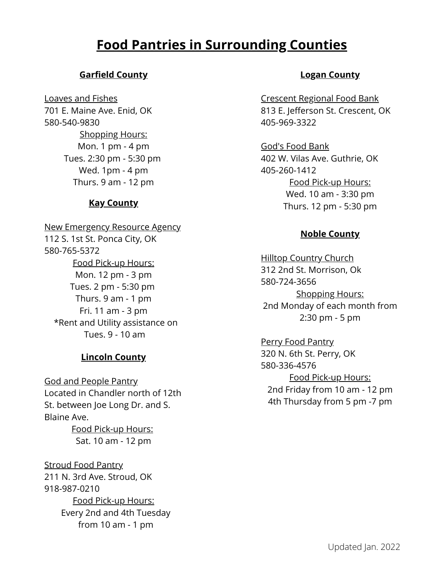# **Food Pantries in Surrounding Counties**

# **Garfield County**

Loaves and Fishes 701 E. Maine Ave. Enid, OK 580-540-9830 Shopping Hours: Mon. 1 pm - 4 pm Tues. 2:30 pm - 5:30 pm Wed. 1pm - 4 pm Thurs. 9 am - 12 pm

### **Kay County**

New Emergency Resource Agency 112 S. 1st St. Ponca City, OK 580-765-5372 Food Pick-up Hours: Mon. 12 pm - 3 pm Tues. 2 pm - 5:30 pm Thurs. 9 am - 1 pm Fri. 11 am - 3 pm \*Rent and Utility assistance on Tues. 9 - 10 am

#### **Lincoln County**

God and People Pantry Located in Chandler north of 12th St. between Joe Long Dr. and S. Blaine Ave.

> Food Pick-up Hours: Sat. 10 am - 12 pm

Stroud Food Pantry 211 N. 3rd Ave. Stroud, OK 918-987-0210 Food Pick-up Hours: Every 2nd and 4th Tuesday from 10 am - 1 pm

### **Logan County**

Crescent Regional Food Bank 813 E. Jefferson St. Crescent, OK 405-969-3322

God's Food Bank 402 W. Vilas Ave. Guthrie, OK 405-260-1412 Food Pick-up Hours: Wed. 10 am - 3:30 pm Thurs. 12 pm - 5:30 pm

### **Noble County**

Hilltop Country Church 312 2nd St. Morrison, Ok 580-724-3656 Shopping Hours: 2nd Monday of each month from 2:30 pm - 5 pm

Perry Food Pantry 320 N. 6th St. Perry, OK 580-336-4576 Food Pick-up Hours: 2nd Friday from 10 am - 12 pm 4th Thursday from 5 pm -7 pm